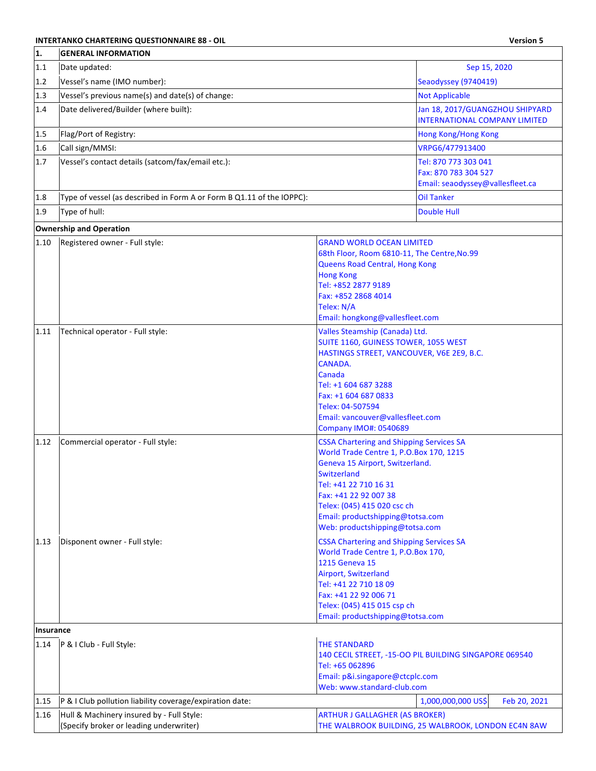## **INTERTANKO CHARTERING QUESTIONNAIRE 88 - OIL Version 5**

 $\overline{\phantom{a}}$ 

| 1.        | <b>GENERAL INFORMATION</b>                                                           |                                                                                                                                                                                                                                                                                                     |                                                                                  |
|-----------|--------------------------------------------------------------------------------------|-----------------------------------------------------------------------------------------------------------------------------------------------------------------------------------------------------------------------------------------------------------------------------------------------------|----------------------------------------------------------------------------------|
| 1.1       | Date updated:                                                                        |                                                                                                                                                                                                                                                                                                     | Sep 15, 2020                                                                     |
| 1.2       | Vessel's name (IMO number):                                                          |                                                                                                                                                                                                                                                                                                     | Seaodyssey (9740419)                                                             |
| 1.3       | Vessel's previous name(s) and date(s) of change:                                     |                                                                                                                                                                                                                                                                                                     | <b>Not Applicable</b>                                                            |
| 1.4       | Date delivered/Builder (where built):                                                |                                                                                                                                                                                                                                                                                                     | Jan 18, 2017/GUANGZHOU SHIPYARD<br><b>INTERNATIONAL COMPANY LIMITED</b>          |
| 1.5       | Flag/Port of Registry:                                                               |                                                                                                                                                                                                                                                                                                     | Hong Kong/Hong Kong                                                              |
| 1.6       | Call sign/MMSI:                                                                      |                                                                                                                                                                                                                                                                                                     | VRPG6/477913400                                                                  |
| 1.7       | Vessel's contact details (satcom/fax/email etc.):                                    |                                                                                                                                                                                                                                                                                                     | Tel: 870 773 303 041<br>Fax: 870 783 304 527<br>Email: seaodyssey@vallesfleet.ca |
| 1.8       | Type of vessel (as described in Form A or Form B Q1.11 of the IOPPC):                |                                                                                                                                                                                                                                                                                                     | <b>Oil Tanker</b>                                                                |
| 1.9       | Type of hull:                                                                        |                                                                                                                                                                                                                                                                                                     | <b>Double Hull</b>                                                               |
|           | <b>Ownership and Operation</b>                                                       |                                                                                                                                                                                                                                                                                                     |                                                                                  |
| 1.10      | Registered owner - Full style:                                                       | <b>GRAND WORLD OCEAN LIMITED</b><br>68th Floor, Room 6810-11, The Centre, No.99<br>Queens Road Central, Hong Kong<br><b>Hong Kong</b><br>Tel: +852 2877 9189<br>Fax: +852 2868 4014<br>Telex: N/A<br>Email: hongkong@vallesfleet.com                                                                |                                                                                  |
| 1.11      | Technical operator - Full style:                                                     | Valles Steamship (Canada) Ltd.<br>SUITE 1160, GUINESS TOWER, 1055 WEST<br>HASTINGS STREET, VANCOUVER, V6E 2E9, B.C.<br>CANADA.<br>Canada<br>Tel: +1 604 687 3288<br>Fax: +1 604 687 0833<br>Telex: 04-507594<br>Email: vancouver@vallesfleet.com<br><b>Company IMO#: 0540689</b>                    |                                                                                  |
| 1.12      | Commercial operator - Full style:                                                    | <b>CSSA Chartering and Shipping Services SA</b><br>World Trade Centre 1, P.O.Box 170, 1215<br>Geneva 15 Airport, Switzerland.<br>Switzerland<br>Tel: +41 22 710 16 31<br>Fax: +41 22 92 007 38<br>Telex: (045) 415 020 csc ch<br>Email: productshipping@totsa.com<br>Web: productshipping@totsa.com |                                                                                  |
| 1.13      | Disponent owner - Full style:                                                        | <b>CSSA Chartering and Shipping Services SA</b><br>World Trade Centre 1, P.O.Box 170,<br>1215 Geneva 15<br>Airport, Switzerland<br>Tel: +41 22 710 18 09<br>Fax: +41 22 92 006 71<br>Telex: (045) 415 015 csp ch<br>Email: productshipping@totsa.com                                                |                                                                                  |
| Insurance |                                                                                      |                                                                                                                                                                                                                                                                                                     |                                                                                  |
| 1.14      | P & I Club - Full Style:                                                             | <b>THE STANDARD</b><br>Tel: +65 062896<br>Email: p&i.singapore@ctcplc.com<br>Web: www.standard-club.com                                                                                                                                                                                             | 140 CECIL STREET, -15-OO PIL BUILDING SINGAPORE 069540                           |
| 1.15      | P & I Club pollution liability coverage/expiration date:                             |                                                                                                                                                                                                                                                                                                     | 1,000,000,000 US\$<br>Feb 20, 2021                                               |
| 1.16      | Hull & Machinery insured by - Full Style:<br>(Specify broker or leading underwriter) | <b>ARTHUR J GALLAGHER (AS BROKER)</b>                                                                                                                                                                                                                                                               | THE WALBROOK BUILDING, 25 WALBROOK, LONDON EC4N 8AW                              |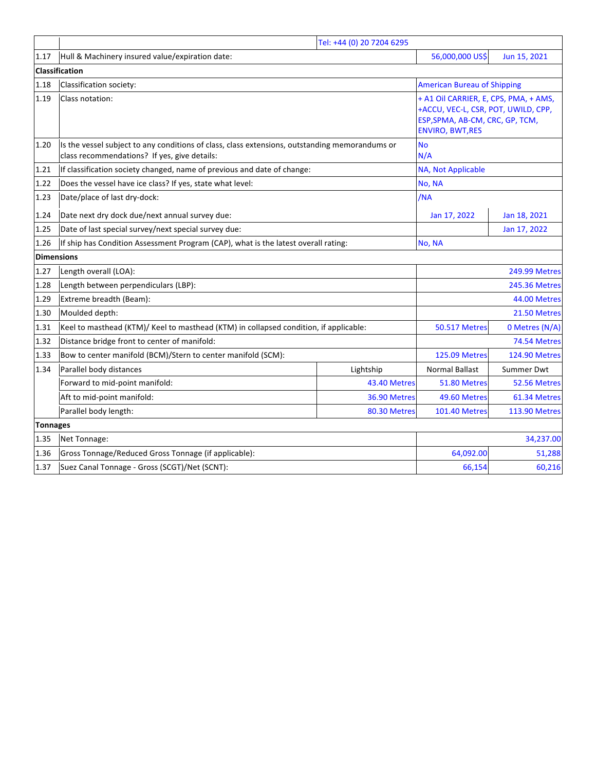|                   | Tel: +44 (0) 20 7204 6295                                                                                                                      |              |                                                                                                                                            |                      |  |
|-------------------|------------------------------------------------------------------------------------------------------------------------------------------------|--------------|--------------------------------------------------------------------------------------------------------------------------------------------|----------------------|--|
| 1.17              | Hull & Machinery insured value/expiration date:                                                                                                |              | 56,000,000 US\$                                                                                                                            | Jun 15, 2021         |  |
|                   | <b>Classification</b>                                                                                                                          |              |                                                                                                                                            |                      |  |
| 1.18              | Classification society:                                                                                                                        |              | <b>American Bureau of Shipping</b>                                                                                                         |                      |  |
| 1.19              | Class notation:                                                                                                                                |              | + A1 Oil CARRIER, E, CPS, PMA, + AMS,<br>+ACCU, VEC-L, CSR, POT, UWILD, CPP,<br>ESP, SPMA, AB-CM, CRC, GP, TCM,<br><b>ENVIRO, BWT, RES</b> |                      |  |
| 1.20              | Is the vessel subject to any conditions of class, class extensions, outstanding memorandums or<br>class recommendations? If yes, give details: |              | <b>No</b><br>N/A                                                                                                                           |                      |  |
| 1.21              | If classification society changed, name of previous and date of change:                                                                        |              | NA, Not Applicable                                                                                                                         |                      |  |
| 1.22              | Does the vessel have ice class? If yes, state what level:                                                                                      |              | No, NA                                                                                                                                     |                      |  |
| 1.23              | Date/place of last dry-dock:                                                                                                                   |              | /NA                                                                                                                                        |                      |  |
| 1.24              | Date next dry dock due/next annual survey due:                                                                                                 |              | Jan 17, 2022                                                                                                                               | Jan 18, 2021         |  |
| 1.25              | Date of last special survey/next special survey due:                                                                                           |              |                                                                                                                                            | Jan 17, 2022         |  |
| 1.26              | If ship has Condition Assessment Program (CAP), what is the latest overall rating:                                                             |              | No, NA                                                                                                                                     |                      |  |
| <b>Dimensions</b> |                                                                                                                                                |              |                                                                                                                                            |                      |  |
| 1.27              | Length overall (LOA):                                                                                                                          |              | <b>249.99 Metres</b>                                                                                                                       |                      |  |
| 1.28              | Length between perpendiculars (LBP):                                                                                                           |              | <b>245.36 Metres</b>                                                                                                                       |                      |  |
| 1.29              | Extreme breadth (Beam):                                                                                                                        |              | 44.00 Metres                                                                                                                               |                      |  |
| 1.30              | Moulded depth:                                                                                                                                 |              | 21.50 Metres                                                                                                                               |                      |  |
| 1.31              | Keel to masthead (KTM)/ Keel to masthead (KTM) in collapsed condition, if applicable:                                                          |              | <b>50.517 Metres</b>                                                                                                                       | 0 Metres (N/A)       |  |
| 1.32              | Distance bridge front to center of manifold:                                                                                                   |              |                                                                                                                                            | 74.54 Metres         |  |
| 1.33              | Bow to center manifold (BCM)/Stern to center manifold (SCM):                                                                                   |              | <b>125.09 Metres</b>                                                                                                                       | <b>124.90 Metres</b> |  |
| 1.34              | Parallel body distances                                                                                                                        | Lightship    | <b>Normal Ballast</b>                                                                                                                      | Summer Dwt           |  |
|                   | Forward to mid-point manifold:                                                                                                                 | 43.40 Metres | 51.80 Metres                                                                                                                               | 52.56 Metres         |  |
|                   | Aft to mid-point manifold:                                                                                                                     | 36.90 Metres | 49.60 Metres                                                                                                                               | 61.34 Metres         |  |
|                   | Parallel body length:                                                                                                                          | 80.30 Metres | <b>101.40 Metres</b>                                                                                                                       | <b>113.90 Metres</b> |  |
|                   | <b>Tonnages</b>                                                                                                                                |              |                                                                                                                                            |                      |  |
| 1.35              | Net Tonnage:                                                                                                                                   |              |                                                                                                                                            | 34,237.00            |  |
| 1.36              | Gross Tonnage/Reduced Gross Tonnage (if applicable):                                                                                           |              | 64,092.00                                                                                                                                  | 51,288               |  |
| 1.37              | Suez Canal Tonnage - Gross (SCGT)/Net (SCNT):                                                                                                  |              | 66,154                                                                                                                                     | 60,216               |  |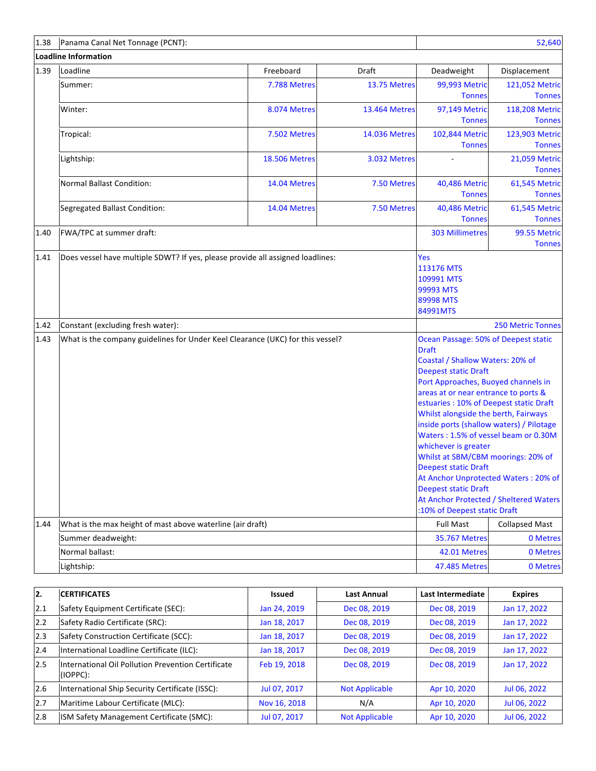| 1.38 | Panama Canal Net Tonnage (PCNT):                                                                                                                                                                                                                                                                                                                                                                                                                                                                                                                                                                                                                                                                      |                      |                      |                                                                | 52,640                          |
|------|-------------------------------------------------------------------------------------------------------------------------------------------------------------------------------------------------------------------------------------------------------------------------------------------------------------------------------------------------------------------------------------------------------------------------------------------------------------------------------------------------------------------------------------------------------------------------------------------------------------------------------------------------------------------------------------------------------|----------------------|----------------------|----------------------------------------------------------------|---------------------------------|
|      | <b>Loadline Information</b>                                                                                                                                                                                                                                                                                                                                                                                                                                                                                                                                                                                                                                                                           |                      |                      |                                                                |                                 |
| 1.39 | Loadline                                                                                                                                                                                                                                                                                                                                                                                                                                                                                                                                                                                                                                                                                              | Freeboard            | Draft                | Deadweight                                                     | Displacement                    |
|      | Summer:                                                                                                                                                                                                                                                                                                                                                                                                                                                                                                                                                                                                                                                                                               | 7.788 Metres         | 13.75 Metres         | 99,993 Metric<br><b>Tonnes</b>                                 | 121,052 Metric<br><b>Tonnes</b> |
|      | Winter:                                                                                                                                                                                                                                                                                                                                                                                                                                                                                                                                                                                                                                                                                               | 8.074 Metres         | 13.464 Metres        | 97,149 Metric<br><b>Tonnes</b>                                 | 118,208 Metric<br><b>Tonnes</b> |
|      | Tropical:                                                                                                                                                                                                                                                                                                                                                                                                                                                                                                                                                                                                                                                                                             | 7.502 Metres         | <b>14.036 Metres</b> | 102,844 Metric<br><b>Tonnes</b>                                | 123,903 Metric<br><b>Tonnes</b> |
|      | Lightship:                                                                                                                                                                                                                                                                                                                                                                                                                                                                                                                                                                                                                                                                                            | <b>18.506 Metres</b> | 3.032 Metres         |                                                                | 21,059 Metric<br><b>Tonnes</b>  |
|      | <b>Normal Ballast Condition:</b>                                                                                                                                                                                                                                                                                                                                                                                                                                                                                                                                                                                                                                                                      | 14.04 Metres         | 7.50 Metres          | 40,486 Metric<br><b>Tonnes</b>                                 | 61,545 Metric<br><b>Tonnes</b>  |
|      | Segregated Ballast Condition:                                                                                                                                                                                                                                                                                                                                                                                                                                                                                                                                                                                                                                                                         | 14.04 Metres         | 7.50 Metres          | 40,486 Metric<br><b>Tonnes</b>                                 | 61,545 Metric<br><b>Tonnes</b>  |
| 1.40 | FWA/TPC at summer draft:                                                                                                                                                                                                                                                                                                                                                                                                                                                                                                                                                                                                                                                                              |                      |                      | <b>303 Millimetres</b>                                         | 99.55 Metric<br><b>Tonnes</b>   |
|      |                                                                                                                                                                                                                                                                                                                                                                                                                                                                                                                                                                                                                                                                                                       |                      |                      | 113176 MTS<br>109991 MTS<br>99993 MTS<br>89998 MTS<br>84991MTS |                                 |
| 1.42 | Constant (excluding fresh water):                                                                                                                                                                                                                                                                                                                                                                                                                                                                                                                                                                                                                                                                     |                      |                      |                                                                | <b>250 Metric Tonnes</b>        |
| 1.43 | What is the company guidelines for Under Keel Clearance (UKC) for this vessel?<br>Ocean Passage: 50% of Deepest static<br><b>Draft</b><br>Coastal / Shallow Waters: 20% of<br><b>Deepest static Draft</b><br>Port Approaches, Buoyed channels in<br>areas at or near entrance to ports &<br>estuaries: 10% of Deepest static Draft<br>Whilst alongside the berth, Fairways<br>inside ports (shallow waters) / Pilotage<br>Waters: 1.5% of vessel beam or 0.30M<br>whichever is greater<br>Whilst at SBM/CBM moorings: 20% of<br>Deepest static Draft<br>At Anchor Unprotected Waters: 20% of<br><b>Deepest static Draft</b><br>At Anchor Protected / Sheltered Waters<br>:10% of Deepest static Draft |                      |                      |                                                                |                                 |
| 1.44 | What is the max height of mast above waterline (air draft)                                                                                                                                                                                                                                                                                                                                                                                                                                                                                                                                                                                                                                            |                      |                      | <b>Full Mast</b>                                               | <b>Collapsed Mast</b>           |
|      | Summer deadweight:                                                                                                                                                                                                                                                                                                                                                                                                                                                                                                                                                                                                                                                                                    |                      |                      | <b>35.767 Metres</b>                                           | 0 Metres                        |
|      | Normal ballast:<br>Lightship:                                                                                                                                                                                                                                                                                                                                                                                                                                                                                                                                                                                                                                                                         |                      |                      | 42.01 Metres<br>47.485 Metres                                  | 0 Metres<br>0 Metres            |
|      |                                                                                                                                                                                                                                                                                                                                                                                                                                                                                                                                                                                                                                                                                                       |                      |                      |                                                                |                                 |

| 12. | <b>CERTIFICATES</b>                                            | Issued       | <b>Last Annual</b>    | Last Intermediate | <b>Expires</b> |
|-----|----------------------------------------------------------------|--------------|-----------------------|-------------------|----------------|
| 2.1 | Safety Equipment Certificate (SEC):                            | Jan 24, 2019 | Dec 08, 2019          | Dec 08, 2019      | Jan 17, 2022   |
| 2.2 | Safety Radio Certificate (SRC):                                | Jan 18, 2017 | Dec 08, 2019          | Dec 08, 2019      | Jan 17, 2022   |
| 2.3 | Safety Construction Certificate (SCC):                         | Jan 18, 2017 | Dec 08, 2019          | Dec 08, 2019      | Jan 17, 2022   |
| 2.4 | International Loadline Certificate (ILC):                      | Jan 18, 2017 | Dec 08, 2019          | Dec 08, 2019      | Jan 17, 2022   |
| 2.5 | International Oil Pollution Prevention Certificate<br>(IOPPC): | Feb 19, 2018 | Dec 08, 2019          | Dec 08, 2019      | Jan 17, 2022   |
| 2.6 | International Ship Security Certificate (ISSC):                | Jul 07, 2017 | <b>Not Applicable</b> | Apr 10, 2020      | Jul 06, 2022   |
| 2.7 | Maritime Labour Certificate (MLC):                             | Nov 16, 2018 | N/A                   | Apr 10, 2020      | Jul 06, 2022   |
| 2.8 | ISM Safety Management Certificate (SMC):                       | Jul 07, 2017 | <b>Not Applicable</b> | Apr 10, 2020      | Jul 06, 2022   |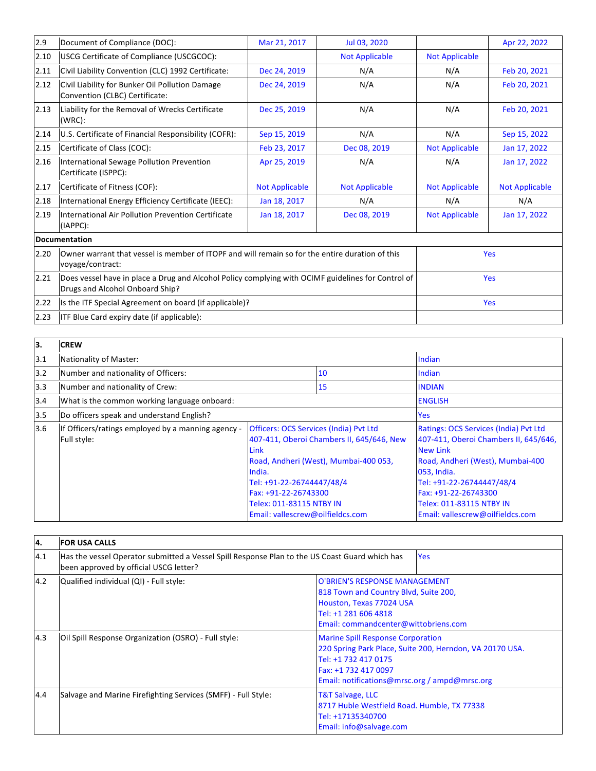| 2.9  | Document of Compliance (DOC):                                                                                                         | Mar 21, 2017          | Jul 03, 2020          |                       | Apr 22, 2022          |
|------|---------------------------------------------------------------------------------------------------------------------------------------|-----------------------|-----------------------|-----------------------|-----------------------|
| 2.10 | USCG Certificate of Compliance (USCGCOC):                                                                                             |                       | <b>Not Applicable</b> | <b>Not Applicable</b> |                       |
| 2.11 | Civil Liability Convention (CLC) 1992 Certificate:                                                                                    | Dec 24, 2019          | N/A                   | N/A                   | Feb 20, 2021          |
| 2.12 | Civil Liability for Bunker Oil Pollution Damage<br>Convention (CLBC) Certificate:                                                     | Dec 24, 2019          | N/A                   | N/A                   | Feb 20, 2021          |
| 2.13 | Liability for the Removal of Wrecks Certificate<br>(WRC):                                                                             | Dec 25, 2019          | N/A                   | N/A                   | Feb 20, 2021          |
| 2.14 | U.S. Certificate of Financial Responsibility (COFR):                                                                                  | Sep 15, 2019          | N/A                   | N/A                   | Sep 15, 2022          |
| 2.15 | Certificate of Class (COC):                                                                                                           | Feb 23, 2017          | Dec 08, 2019          | <b>Not Applicable</b> | Jan 17, 2022          |
| 2.16 | International Sewage Pollution Prevention<br>Certificate (ISPPC):                                                                     | Apr 25, 2019          | N/A                   | N/A                   | Jan 17, 2022          |
| 2.17 | Certificate of Fitness (COF):                                                                                                         | <b>Not Applicable</b> | <b>Not Applicable</b> | <b>Not Applicable</b> | <b>Not Applicable</b> |
| 2.18 | International Energy Efficiency Certificate (IEEC):                                                                                   | Jan 18, 2017          | N/A                   | N/A                   | N/A                   |
| 2.19 | International Air Pollution Prevention Certificate<br>(IAPPC):                                                                        | Jan 18, 2017          | Dec 08, 2019          | <b>Not Applicable</b> | Jan 17, 2022          |
|      | <b>Documentation</b>                                                                                                                  |                       |                       |                       |                       |
| 2.20 | Owner warrant that vessel is member of ITOPF and will remain so for the entire duration of this<br>voyage/contract:                   |                       |                       |                       | <b>Yes</b>            |
| 2.21 | Does vessel have in place a Drug and Alcohol Policy complying with OCIMF guidelines for Control of<br>Drugs and Alcohol Onboard Ship? |                       |                       |                       | <b>Yes</b>            |
| 2.22 | Is the ITF Special Agreement on board (if applicable)?                                                                                |                       |                       |                       | <b>Yes</b>            |
| 2.23 | ITF Blue Card expiry date (if applicable):                                                                                            |                       |                       |                       |                       |

| ١з. | <b>CREW</b>                                                       |                                                                                                                                                                                                                                                                                   |    |                                                                                                                                                                                                                                                                           |
|-----|-------------------------------------------------------------------|-----------------------------------------------------------------------------------------------------------------------------------------------------------------------------------------------------------------------------------------------------------------------------------|----|---------------------------------------------------------------------------------------------------------------------------------------------------------------------------------------------------------------------------------------------------------------------------|
| 3.1 | Nationality of Master:                                            |                                                                                                                                                                                                                                                                                   |    | Indian                                                                                                                                                                                                                                                                    |
| 3.2 | Number and nationality of Officers:                               |                                                                                                                                                                                                                                                                                   | 10 | Indian                                                                                                                                                                                                                                                                    |
| 3.3 | Number and nationality of Crew:                                   |                                                                                                                                                                                                                                                                                   | 15 | <b>INDIAN</b>                                                                                                                                                                                                                                                             |
| 3.4 | What is the common working language onboard:                      |                                                                                                                                                                                                                                                                                   |    | <b>ENGLISH</b>                                                                                                                                                                                                                                                            |
| 3.5 | Do officers speak and understand English?                         |                                                                                                                                                                                                                                                                                   |    | Yes                                                                                                                                                                                                                                                                       |
| 3.6 | If Officers/ratings employed by a manning agency -<br>Full style: | <b>Officers: OCS Services (India) Pvt Ltd</b><br>407-411, Oberoi Chambers II, 645/646, New<br><b>Link</b><br>Road, Andheri (West), Mumbai-400 053,<br>India.<br>Tel: +91-22-26744447/48/4<br>Fax: +91-22-26743300<br>Telex: 011-83115 NTBY IN<br>Email: vallescrew@oilfieldcs.com |    | Ratings: OCS Services (India) Pvt Ltd<br>407-411, Oberoi Chambers II, 645/646,<br><b>New Link</b><br>Road, Andheri (West), Mumbai-400<br>053, India.<br>Tel: +91-22-26744447/48/4<br>Fax: +91-22-26743300<br>Telex: 011-83115 NTBY IN<br>Email: vallescrew@oilfieldcs.com |

| 4.  | <b>FOR USA CALLS</b>                                                                                                                     |                                                                                                                                                                                                       |  |
|-----|------------------------------------------------------------------------------------------------------------------------------------------|-------------------------------------------------------------------------------------------------------------------------------------------------------------------------------------------------------|--|
| 4.1 | Has the vessel Operator submitted a Vessel Spill Response Plan to the US Coast Guard which has<br>been approved by official USCG letter? | <b>Yes</b>                                                                                                                                                                                            |  |
| 4.2 | Qualified individual (QI) - Full style:                                                                                                  | O'BRIEN'S RESPONSE MANAGEMENT<br>818 Town and Country Blvd, Suite 200,<br>Houston, Texas 77024 USA<br>Tel: +1 281 606 4818<br>Email: commandcenter@wittobriens.com                                    |  |
| 4.3 | Oil Spill Response Organization (OSRO) - Full style:                                                                                     | <b>Marine Spill Response Corporation</b><br>220 Spring Park Place, Suite 200, Herndon, VA 20170 USA.<br>Tel: +1 732 417 0175<br>Fax: +1 732 417 0097<br>Email: notifications@mrsc.org / ampd@mrsc.org |  |
| 4.4 | Salvage and Marine Firefighting Services (SMFF) - Full Style:                                                                            | <b>T&amp;T Salvage, LLC</b><br>8717 Huble Westfield Road. Humble, TX 77338<br>Tel: +17135340700<br>Email: info@salvage.com                                                                            |  |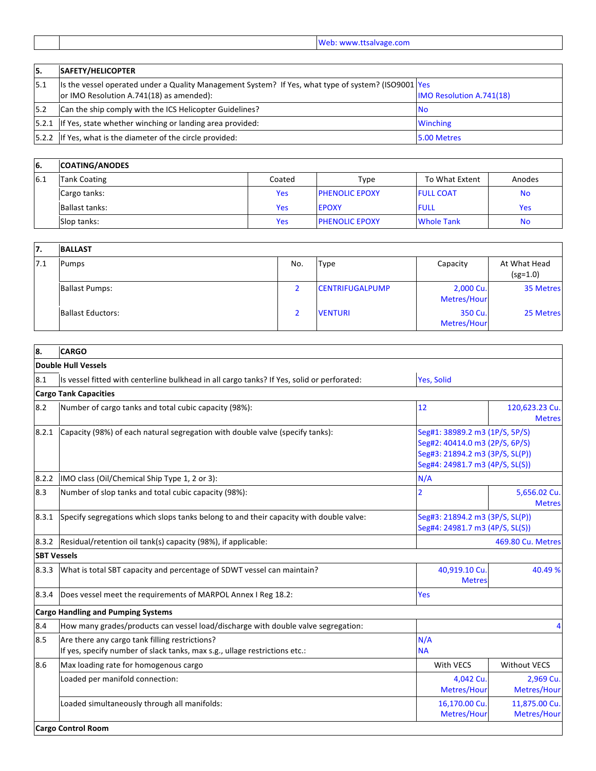Web: www.ttsalvage.com

÷

| 5.  | <b>SAFETY/HELICOPTER</b>                                                                                                                           |                                 |
|-----|----------------------------------------------------------------------------------------------------------------------------------------------------|---------------------------------|
| 5.1 | Its the vessel operated under a Quality Management System? If Yes, what type of system? (ISO9001   Yes<br>or IMO Resolution A.741(18) as amended): | <b>IMO Resolution A.741(18)</b> |
| 5.2 | Can the ship comply with the ICS Helicopter Guidelines?                                                                                            | <b>No</b>                       |
|     | 5.2.1 If Yes, state whether winching or landing area provided:                                                                                     | <b>Winching</b>                 |
|     | 5.2.2 If Yes, what is the diameter of the circle provided:                                                                                         | 5.00 Metres                     |

| <sup>6.</sup> | <b>COATING/ANODES</b> |            |                       |                   |            |
|---------------|-----------------------|------------|-----------------------|-------------------|------------|
| 6.1           | <b>Tank Coating</b>   | Coated     | Type                  | To What Extent    | Anodes     |
|               | Cargo tanks:          | <b>Yes</b> | <b>PHENOLIC EPOXY</b> | <b>FULL COAT</b>  | <b>No</b>  |
|               | <b>Ballast tanks:</b> | Yes        | <b>EPOXY</b>          | <b>FULL</b>       | <b>Yes</b> |
|               | Slop tanks:           | <b>Yes</b> | <b>PHENOLIC EPOXY</b> | <b>Whole Tank</b> | <b>No</b>  |

| 17.  | <b>BALLAST</b>           |     |                        |                          |                            |
|------|--------------------------|-----|------------------------|--------------------------|----------------------------|
| 17.1 | Pumps                    | No. | <b>Type</b>            | Capacity                 | At What Head<br>$(sg=1.0)$ |
|      | <b>Ballast Pumps:</b>    |     | <b>CENTRIFUGALPUMP</b> | 2,000 Cu.<br>Metres/Hour | 35 Metres                  |
|      | <b>Ballast Eductors:</b> |     | <b>VENTURI</b>         | 350 Cu.<br>Metres/Hour   | 25 Metres                  |

| 8.                 | <b>CARGO</b>                                                                                                                 |                                                                                                                                        |                                 |  |
|--------------------|------------------------------------------------------------------------------------------------------------------------------|----------------------------------------------------------------------------------------------------------------------------------------|---------------------------------|--|
|                    | <b>Double Hull Vessels</b>                                                                                                   |                                                                                                                                        |                                 |  |
| 8.1                | Is vessel fitted with centerline bulkhead in all cargo tanks? If Yes, solid or perforated:                                   | Yes, Solid                                                                                                                             |                                 |  |
|                    | <b>Cargo Tank Capacities</b>                                                                                                 |                                                                                                                                        |                                 |  |
| 8.2                | Number of cargo tanks and total cubic capacity (98%):                                                                        | 12                                                                                                                                     | 120,623.23 Cu.<br><b>Metres</b> |  |
| 8.2.1              | Capacity (98%) of each natural segregation with double valve (specify tanks):                                                | Seg#1: 38989.2 m3 (1P/S, 5P/S)<br>Seg#2: 40414.0 m3 (2P/S, 6P/S)<br>Seg#3: 21894.2 m3 (3P/S, SL(P))<br>Seg#4: 24981.7 m3 (4P/S, SL(S)) |                                 |  |
| 8.2.2              | IMO class (Oil/Chemical Ship Type 1, 2 or 3):                                                                                | N/A                                                                                                                                    |                                 |  |
| 8.3                | Number of slop tanks and total cubic capacity (98%):                                                                         | 2                                                                                                                                      | 5,656.02 Cu.<br><b>Metres</b>   |  |
| 8.3.1              | Specify segregations which slops tanks belong to and their capacity with double valve:                                       | Seg#3: 21894.2 m3 (3P/S, SL(P))<br>Seg#4: 24981.7 m3 (4P/S, SL(S))                                                                     |                                 |  |
| 8.3.2              | Residual/retention oil tank(s) capacity (98%), if applicable:                                                                |                                                                                                                                        | 469.80 Cu. Metres               |  |
| <b>SBT Vessels</b> |                                                                                                                              |                                                                                                                                        |                                 |  |
| 8.3.3              | What is total SBT capacity and percentage of SDWT vessel can maintain?                                                       | 40,919.10 Cu<br><b>Metres</b>                                                                                                          | 40.49 %                         |  |
| 8.3.4              | Does vessel meet the requirements of MARPOL Annex I Reg 18.2:                                                                | Yes                                                                                                                                    |                                 |  |
|                    | <b>Cargo Handling and Pumping Systems</b>                                                                                    |                                                                                                                                        |                                 |  |
| 8.4                | How many grades/products can vessel load/discharge with double valve segregation:                                            |                                                                                                                                        |                                 |  |
| 8.5                | Are there any cargo tank filling restrictions?<br>If yes, specify number of slack tanks, max s.g., ullage restrictions etc.: | N/A<br><b>NA</b>                                                                                                                       |                                 |  |
| 8.6                | Max loading rate for homogenous cargo                                                                                        | With VECS                                                                                                                              | <b>Without VECS</b>             |  |
|                    | Loaded per manifold connection:                                                                                              | 4,042 Cu.<br>Metres/Hour                                                                                                               | 2,969 Cu.<br>Metres/Hour        |  |
|                    | Loaded simultaneously through all manifolds:                                                                                 | 16,170.00 Cu.<br>Metres/Hour                                                                                                           | 11,875.00 Cu.<br>Metres/Hour    |  |
|                    | <b>Cargo Control Room</b>                                                                                                    |                                                                                                                                        |                                 |  |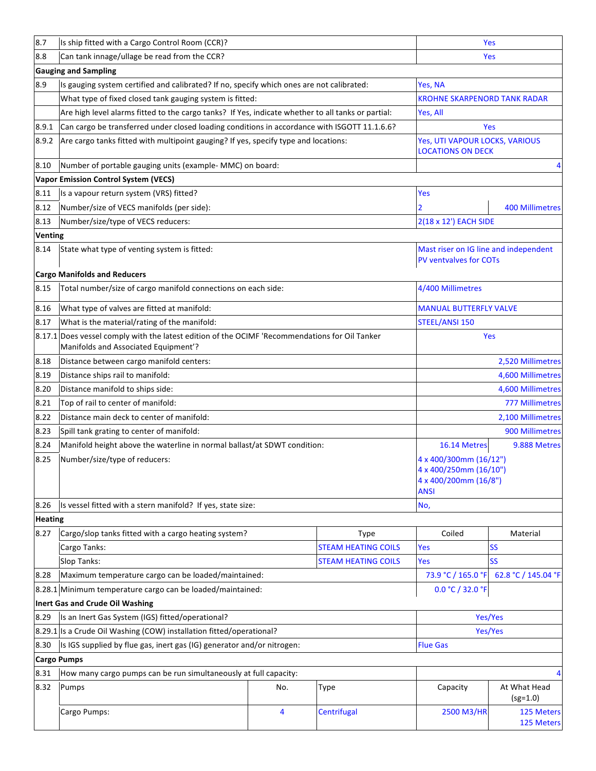| 8.7                | Is ship fitted with a Cargo Control Room (CCR)?                                                                                 |                   |                            | Yes                                                                               |                            |
|--------------------|---------------------------------------------------------------------------------------------------------------------------------|-------------------|----------------------------|-----------------------------------------------------------------------------------|----------------------------|
| 8.8                | Can tank innage/ullage be read from the CCR?                                                                                    |                   |                            |                                                                                   | <b>Yes</b>                 |
|                    | <b>Gauging and Sampling</b>                                                                                                     |                   |                            |                                                                                   |                            |
| 8.9                | Is gauging system certified and calibrated? If no, specify which ones are not calibrated:                                       |                   |                            | Yes, NA                                                                           |                            |
|                    | What type of fixed closed tank gauging system is fitted:                                                                        |                   |                            | <b>KROHNE SKARPENORD TANK RADAR</b>                                               |                            |
|                    | Are high level alarms fitted to the cargo tanks? If Yes, indicate whether to all tanks or partial:                              |                   |                            | Yes, All                                                                          |                            |
| 8.9.1              | Can cargo be transferred under closed loading conditions in accordance with ISGOTT 11.1.6.6?                                    |                   |                            |                                                                                   | Yes                        |
| 8.9.2              | Are cargo tanks fitted with multipoint gauging? If yes, specify type and locations:                                             |                   |                            | Yes, UTI VAPOUR LOCKS, VARIOUS<br><b>LOCATIONS ON DECK</b>                        |                            |
| 8.10               | Number of portable gauging units (example- MMC) on board:                                                                       |                   |                            |                                                                                   | 4                          |
|                    | <b>Vapor Emission Control System (VECS)</b>                                                                                     |                   |                            |                                                                                   |                            |
| 8.11               | Is a vapour return system (VRS) fitted?                                                                                         |                   |                            | Yes                                                                               |                            |
| 8.12               | Number/size of VECS manifolds (per side):                                                                                       |                   |                            |                                                                                   | <b>400 Millimetres</b>     |
| 8.13               | Number/size/type of VECS reducers:                                                                                              |                   |                            | 2(18 x 12') EACH SIDE                                                             |                            |
| <b>Venting</b>     |                                                                                                                                 |                   |                            |                                                                                   |                            |
| 8.14               | State what type of venting system is fitted:                                                                                    |                   |                            | Mast riser on IG line and independent<br><b>PV ventvalves for COTs</b>            |                            |
|                    | <b>Cargo Manifolds and Reducers</b>                                                                                             |                   |                            |                                                                                   |                            |
| 8.15               | Total number/size of cargo manifold connections on each side:                                                                   | 4/400 Millimetres |                            |                                                                                   |                            |
| 8.16               | What type of valves are fitted at manifold:                                                                                     |                   |                            | <b>MANUAL BUTTERFLY VALVE</b>                                                     |                            |
| 8.17               | What is the material/rating of the manifold:                                                                                    |                   |                            | <b>STEEL/ANSI 150</b>                                                             |                            |
| 8.17.1             | Does vessel comply with the latest edition of the OCIMF 'Recommendations for Oil Tanker<br>Manifolds and Associated Equipment'? |                   |                            |                                                                                   | Yes                        |
| 8.18               | Distance between cargo manifold centers:                                                                                        |                   |                            | 2,520 Millimetres                                                                 |                            |
| 8.19               | Distance ships rail to manifold:                                                                                                |                   |                            | 4,600 Millimetres                                                                 |                            |
| 8.20               | Distance manifold to ships side:                                                                                                |                   |                            | 4,600 Millimetres                                                                 |                            |
| 8.21               | Top of rail to center of manifold:                                                                                              |                   |                            | <b>777 Millimetres</b>                                                            |                            |
| 8.22               | Distance main deck to center of manifold:                                                                                       |                   |                            | 2,100 Millimetres                                                                 |                            |
| 8.23               | Spill tank grating to center of manifold:                                                                                       |                   |                            | 900 Millimetres                                                                   |                            |
| 8.24               | Manifold height above the waterline in normal ballast/at SDWT condition:                                                        |                   |                            | 16.14 Metres                                                                      | 9.888 Metres               |
| 8.25               | Number/size/type of reducers:                                                                                                   |                   |                            | 4 x 400/300mm (16/12")<br>4 x 400/250mm (16/10")<br>4 x 400/200mm (16/8")<br>ANSI |                            |
| 8.26               | Is vessel fitted with a stern manifold? If yes, state size:                                                                     |                   |                            | No,                                                                               |                            |
| <b>Heating</b>     |                                                                                                                                 |                   |                            |                                                                                   |                            |
| 8.27               | Cargo/slop tanks fitted with a cargo heating system?                                                                            |                   | Type                       | Coiled                                                                            | Material                   |
|                    | Cargo Tanks:                                                                                                                    |                   | <b>STEAM HEATING COILS</b> | Yes                                                                               | <b>SS</b>                  |
|                    | Slop Tanks:                                                                                                                     |                   | <b>STEAM HEATING COILS</b> | Yes                                                                               | <b>SS</b>                  |
| 8.28               | Maximum temperature cargo can be loaded/maintained:                                                                             |                   |                            | 73.9 °C / 165.0 °F                                                                | 62.8 °C / 145.04 °F        |
|                    | 8.28.1 Minimum temperature cargo can be loaded/maintained:                                                                      |                   |                            | 0.0 °C / 32.0 °F                                                                  |                            |
|                    | Inert Gas and Crude Oil Washing                                                                                                 |                   |                            |                                                                                   |                            |
| 8.29               | Is an Inert Gas System (IGS) fitted/operational?                                                                                |                   |                            |                                                                                   | Yes/Yes                    |
| 8.29.1             | Is a Crude Oil Washing (COW) installation fitted/operational?                                                                   |                   |                            |                                                                                   | Yes/Yes                    |
| 8.30               | Is IGS supplied by flue gas, inert gas (IG) generator and/or nitrogen:                                                          |                   |                            | <b>Flue Gas</b>                                                                   |                            |
| <b>Cargo Pumps</b> |                                                                                                                                 |                   |                            |                                                                                   |                            |
| 8.31               | How many cargo pumps can be run simultaneously at full capacity:                                                                |                   |                            |                                                                                   |                            |
| 8.32               | Pumps                                                                                                                           | No.               | <b>Type</b>                | Capacity                                                                          | At What Head<br>$(sg=1.0)$ |
|                    | Cargo Pumps:                                                                                                                    | 4                 | Centrifugal                | 2500 M3/HR                                                                        | 125 Meters<br>125 Meters   |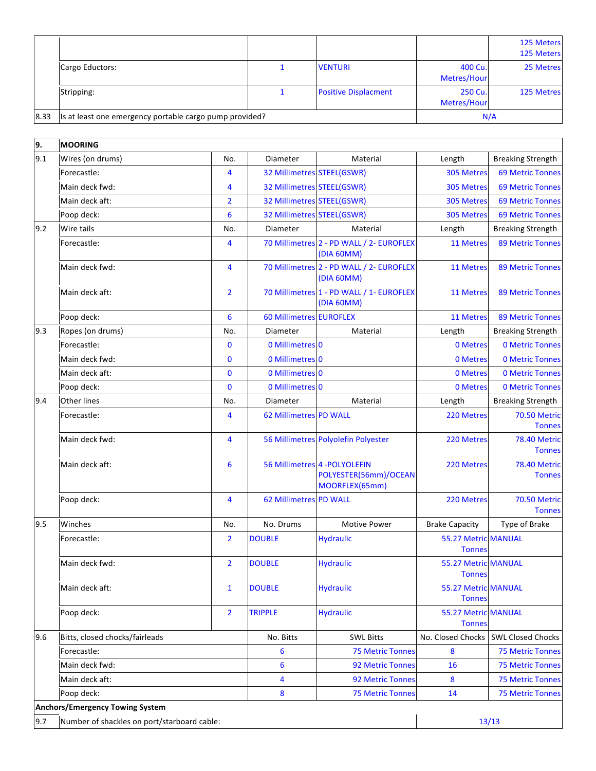|      |                                                         |  |                             |                        | 125 Meters<br>125 Meters |
|------|---------------------------------------------------------|--|-----------------------------|------------------------|--------------------------|
|      | Cargo Eductors:                                         |  | <b>VENTURI</b>              | 400 Cu.<br>Metres/Hour | 25 Metres                |
|      | Stripping:                                              |  | <b>Positive Displacment</b> | 250 Cu.<br>Metres/Hour | <b>125 Metres</b>        |
| 8.33 | Is at least one emergency portable cargo pump provided? |  |                             | N/A                    |                          |

| 9.  | <b>MOORING</b>                              |                |                               |                                                                          |                                      |                                      |
|-----|---------------------------------------------|----------------|-------------------------------|--------------------------------------------------------------------------|--------------------------------------|--------------------------------------|
| 9.1 | Wires (on drums)                            | No.            | Diameter                      | Material                                                                 | Length                               | <b>Breaking Strength</b>             |
|     | Forecastle:                                 | 4              | 32 Millimetres STEEL(GSWR)    |                                                                          | 305 Metres                           | <b>69 Metric Tonnes</b>              |
|     | Main deck fwd:                              | $\overline{4}$ | 32 Millimetres STEEL(GSWR)    |                                                                          | 305 Metres                           | <b>69 Metric Tonnes</b>              |
|     | Main deck aft:                              | $\overline{2}$ | 32 Millimetres STEEL(GSWR)    |                                                                          | 305 Metres                           | <b>69 Metric Tonnes</b>              |
|     | Poop deck:                                  | 6              | 32 Millimetres STEEL(GSWR)    |                                                                          | 305 Metres                           | <b>69 Metric Tonnes</b>              |
| 9.2 | Wire tails                                  | No.            | Diameter                      | Material                                                                 | Length                               | <b>Breaking Strength</b>             |
|     | Forecastle:                                 | $\overline{4}$ |                               | 70 Millimetres 2 - PD WALL / 2- EUROFLEX<br>(DIA 60MM)                   | 11 Metres                            | <b>89 Metric Tonnes</b>              |
|     | Main deck fwd:                              | $\overline{4}$ |                               | 70 Millimetres 2 - PD WALL / 2- EUROFLEX<br>(DIA 60MM)                   | 11 Metres                            | <b>89 Metric Tonnes</b>              |
|     | Main deck aft:                              | $\overline{2}$ |                               | 70 Millimetres 1 - PD WALL / 1- EUROFLEX<br>(DIA 60MM)                   | <b>11 Metres</b>                     | <b>89 Metric Tonnes</b>              |
|     | Poop deck:                                  | 6              | 60 Millimetres EUROFLEX       |                                                                          | 11 Metres                            | <b>89 Metric Tonnes</b>              |
| 9.3 | Ropes (on drums)                            | No.            | Diameter                      | Material                                                                 | Length                               | <b>Breaking Strength</b>             |
|     | Forecastle:                                 | $\bf{0}$       | 0 Millimetres 0               |                                                                          | 0 Metres                             | <b>0 Metric Tonnes</b>               |
|     | Main deck fwd:                              | $\mathbf{0}$   | 0 Millimetres 0               |                                                                          | 0 Metres                             | <b>0 Metric Tonnes</b>               |
|     | Main deck aft:                              | $\mathbf{0}$   | 0 Millimetres 0               |                                                                          | 0 Metres                             | <b>0 Metric Tonnes</b>               |
|     | Poop deck:                                  | $\mathbf{0}$   | 0 Millimetres 0               |                                                                          | 0 Metres                             | <b>0 Metric Tonnes</b>               |
| 9.4 | <b>Other lines</b>                          | No.            | Diameter                      | Material                                                                 | Length                               | <b>Breaking Strength</b>             |
|     | Forecastle:                                 | $\overline{4}$ | 62 Millimetres PD WALL        |                                                                          | 220 Metres                           | <b>70.50 Metric</b><br><b>Tonnes</b> |
|     | Main deck fwd:                              | $\overline{4}$ |                               | 56 Millimetres Polyolefin Polyester                                      | 220 Metres                           | <b>78.40 Metric</b><br><b>Tonnes</b> |
|     | Main deck aft:                              | 6              |                               | 56 Millimetres 4 - POLYOLEFIN<br>POLYESTER(56mm)/OCEAN<br>MOORFLEX(65mm) | 220 Metres                           | <b>78.40 Metric</b><br><b>Tonnes</b> |
|     | Poop deck:                                  | $\overline{4}$ | <b>62 Millimetres PD WALL</b> |                                                                          | 220 Metres                           | <b>70.50 Metric</b><br><b>Tonnes</b> |
| 9.5 | Winches                                     | No.            | No. Drums                     | <b>Motive Power</b>                                                      | <b>Brake Capacity</b>                | Type of Brake                        |
|     | Forecastle:                                 | $\overline{2}$ | <b>DOUBLE</b>                 | <b>Hydraulic</b>                                                         | 55.27 Metric MANUAL<br><b>Tonnes</b> |                                      |
|     | Main deck fwd:                              | $\overline{2}$ | <b>DOUBLE</b>                 | <b>Hydraulic</b>                                                         | 55.27 Metric MANUAL<br><b>Tonnes</b> |                                      |
|     | Main deck aft:                              | $\mathbf{1}$   | <b>DOUBLE</b>                 | <b>Hydraulic</b>                                                         | 55.27 Metric MANUAL<br><b>Tonnes</b> |                                      |
|     | Poop deck:                                  | $\overline{2}$ | <b>TRIPPLE</b>                | <b>Hydraulic</b>                                                         | 55.27 Metric MANUAL<br><b>Tonnes</b> |                                      |
| 9.6 | Bitts, closed chocks/fairleads              |                | No. Bitts                     | <b>SWL Bitts</b>                                                         | No. Closed Chocks                    | <b>SWL Closed Chocks</b>             |
|     | Forecastle:                                 |                | 6                             | <b>75 Metric Tonnes</b>                                                  | 8                                    | <b>75 Metric Tonnes</b>              |
|     | Main deck fwd:                              |                | 6                             | <b>92 Metric Tonnes</b>                                                  | 16                                   | <b>75 Metric Tonnes</b>              |
|     | Main deck aft:                              |                | 4                             | <b>92 Metric Tonnes</b>                                                  | 8                                    | <b>75 Metric Tonnes</b>              |
|     | Poop deck:                                  |                | 8                             | <b>75 Metric Tonnes</b>                                                  | 14                                   | <b>75 Metric Tonnes</b>              |
|     | <b>Anchors/Emergency Towing System</b>      |                |                               |                                                                          |                                      |                                      |
| 9.7 | Number of shackles on port/starboard cable: |                |                               |                                                                          | 13/13                                |                                      |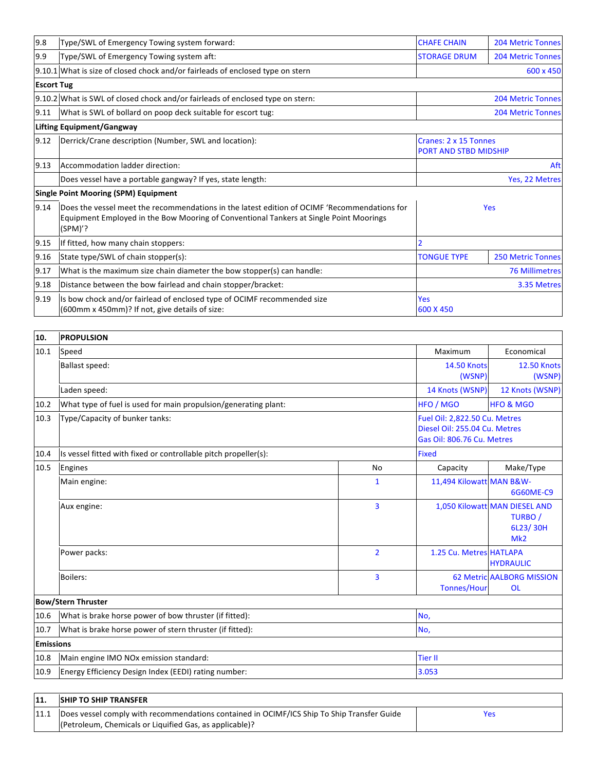| 9.8               | Type/SWL of Emergency Towing system forward:<br><b>CHAFE CHAIN</b>                                                                                                                                |                                                       | <b>204 Metric Tonnes</b> |  |
|-------------------|---------------------------------------------------------------------------------------------------------------------------------------------------------------------------------------------------|-------------------------------------------------------|--------------------------|--|
| 9.9               | Type/SWL of Emergency Towing system aft:                                                                                                                                                          | <b>STORAGE DRUM</b>                                   | <b>204 Metric Tonnes</b> |  |
|                   | 9.10.1 What is size of closed chock and/or fairleads of enclosed type on stern                                                                                                                    | 600 x 450                                             |                          |  |
| <b>Escort Tug</b> |                                                                                                                                                                                                   |                                                       |                          |  |
|                   | 9.10.2 What is SWL of closed chock and/or fairleads of enclosed type on stern:                                                                                                                    | <b>204 Metric Tonnes</b>                              |                          |  |
| 9.11              | What is SWL of bollard on poop deck suitable for escort tug:<br><b>204 Metric Tonnes</b>                                                                                                          |                                                       |                          |  |
|                   | <b>Lifting Equipment/Gangway</b>                                                                                                                                                                  |                                                       |                          |  |
| 9.12              | Derrick/Crane description (Number, SWL and location):                                                                                                                                             | Cranes: 2 x 15 Tonnes<br><b>PORT AND STBD MIDSHIP</b> |                          |  |
| 9.13              | Accommodation ladder direction:                                                                                                                                                                   | Aft                                                   |                          |  |
|                   | Does vessel have a portable gangway? If yes, state length:                                                                                                                                        |                                                       | Yes, 22 Metres           |  |
|                   | <b>Single Point Mooring (SPM) Equipment</b>                                                                                                                                                       |                                                       |                          |  |
| 9.14              | Does the vessel meet the recommendations in the latest edition of OCIMF 'Recommendations for<br>Equipment Employed in the Bow Mooring of Conventional Tankers at Single Point Moorings<br>(SPM)'? | Yes                                                   |                          |  |
| 9.15              | If fitted, how many chain stoppers:                                                                                                                                                               |                                                       |                          |  |
| 9.16              | State type/SWL of chain stopper(s):                                                                                                                                                               | <b>TONGUE TYPE</b>                                    | <b>250 Metric Tonnes</b> |  |
| 9.17              | What is the maximum size chain diameter the bow stopper(s) can handle:                                                                                                                            | <b>76 Millimetres</b>                                 |                          |  |
| 9.18              | Distance between the bow fairlead and chain stopper/bracket:                                                                                                                                      | 3.35 Metres                                           |                          |  |
| 9.19              | Is bow chock and/or fairlead of enclosed type of OCIMF recommended size<br>(600mm x 450mm)? If not, give details of size:                                                                         | <b>Yes</b><br>600 X 450                               |                          |  |

| 10.              | <b>PROPULSION</b>                                               |                                                                                              |                          |                                                             |
|------------------|-----------------------------------------------------------------|----------------------------------------------------------------------------------------------|--------------------------|-------------------------------------------------------------|
| 10.1             | Speed                                                           | Maximum                                                                                      | Economical               |                                                             |
|                  | Ballast speed:                                                  | <b>14.50 Knots</b>                                                                           | <b>12.50 Knots</b>       |                                                             |
|                  |                                                                 |                                                                                              | (WSNP)                   | (WSNP)                                                      |
|                  | Laden speed:                                                    |                                                                                              | 14 Knots (WSNP)          | 12 Knots (WSNP)                                             |
| 10.2             | What type of fuel is used for main propulsion/generating plant: |                                                                                              | HFO / MGO                | <b>HFO &amp; MGO</b>                                        |
| 10.3             | Type/Capacity of bunker tanks:                                  | Fuel Oil: 2,822.50 Cu. Metres<br>Diesel Oil: 255.04 Cu. Metres<br>Gas Oil: 806.76 Cu. Metres |                          |                                                             |
| 10.4             | Is vessel fitted with fixed or controllable pitch propeller(s): | <b>Fixed</b>                                                                                 |                          |                                                             |
| 10.5             | Engines                                                         | <b>No</b>                                                                                    | Capacity                 | Make/Type                                                   |
|                  | Main engine:                                                    | 1                                                                                            | 11,494 Kilowatt MAN B&W- | 6G60ME-C9                                                   |
|                  | Aux engine:                                                     | 3                                                                                            |                          | 1,050 Kilowatt MAN DIESEL AND<br>TURBO /<br>6L23/30H<br>Mk2 |
|                  | Power packs:                                                    | $\overline{2}$                                                                               | 1.25 Cu. Metres HATLAPA  | <b>HYDRAULIC</b>                                            |
|                  | <b>Boilers:</b>                                                 | 3                                                                                            | <b>Tonnes/Hour</b>       | <b>62 Metric AALBORG MISSION</b><br><b>OL</b>               |
|                  | <b>Bow/Stern Thruster</b>                                       |                                                                                              |                          |                                                             |
| 10.6             | What is brake horse power of bow thruster (if fitted):          | No,                                                                                          |                          |                                                             |
| 10.7             | What is brake horse power of stern thruster (if fitted):        | No,                                                                                          |                          |                                                             |
| <b>Emissions</b> |                                                                 |                                                                                              |                          |                                                             |
| 10.8             | Main engine IMO NOx emission standard:                          | <b>Tier II</b>                                                                               |                          |                                                             |
| 10.9             | Energy Efficiency Design Index (EEDI) rating number:            | 3.053                                                                                        |                          |                                                             |

| <b>SHIP TO SHIP TRANSFER</b>                                                               |     |
|--------------------------------------------------------------------------------------------|-----|
| Does vessel comply with recommendations contained in OCIMF/ICS Ship To Ship Transfer Guide | Yes |
| (Petroleum, Chemicals or Liquified Gas, as applicable)?                                    |     |